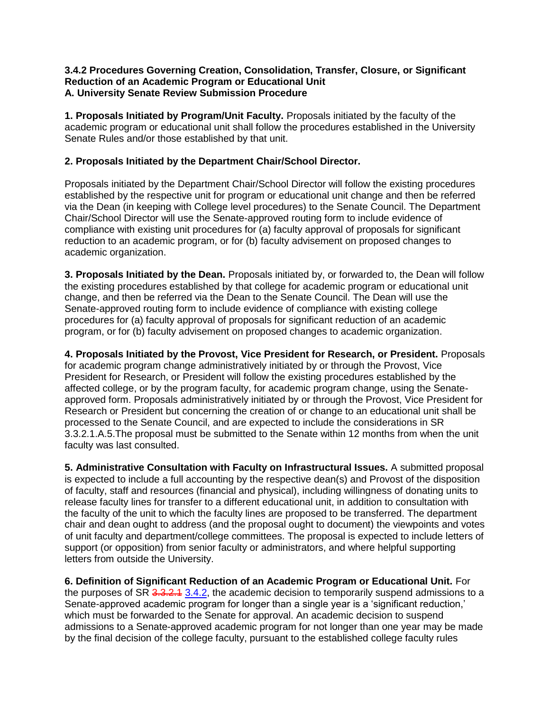#### **3.4.2 Procedures Governing Creation, Consolidation, Transfer, Closure, or Significant Reduction of an Academic Program or Educational Unit A. University Senate Review Submission Procedure**

**1. Proposals Initiated by Program/Unit Faculty.** Proposals initiated by the faculty of the academic program or educational unit shall follow the procedures established in the University Senate Rules and/or those established by that unit.

## **2. Proposals Initiated by the Department Chair/School Director.**

Proposals initiated by the Department Chair/School Director will follow the existing procedures established by the respective unit for program or educational unit change and then be referred via the Dean (in keeping with College level procedures) to the Senate Council. The Department Chair/School Director will use the Senate-approved routing form to include evidence of compliance with existing unit procedures for (a) faculty approval of proposals for significant reduction to an academic program, or for (b) faculty advisement on proposed changes to academic organization.

**3. Proposals Initiated by the Dean.** Proposals initiated by, or forwarded to, the Dean will follow the existing procedures established by that college for academic program or educational unit change, and then be referred via the Dean to the Senate Council. The Dean will use the Senate-approved routing form to include evidence of compliance with existing college procedures for (a) faculty approval of proposals for significant reduction of an academic program, or for (b) faculty advisement on proposed changes to academic organization.

**4. Proposals Initiated by the Provost, Vice President for Research, or President.** Proposals for academic program change administratively initiated by or through the Provost, Vice President for Research, or President will follow the existing procedures established by the affected college, or by the program faculty, for academic program change, using the Senateapproved form. Proposals administratively initiated by or through the Provost, Vice President for Research or President but concerning the creation of or change to an educational unit shall be processed to the Senate Council, and are expected to include the considerations in SR 3.3.2.1.A.5.The proposal must be submitted to the Senate within 12 months from when the unit faculty was last consulted.

**5. Administrative Consultation with Faculty on Infrastructural Issues.** A submitted proposal is expected to include a full accounting by the respective dean(s) and Provost of the disposition of faculty, staff and resources (financial and physical), including willingness of donating units to release faculty lines for transfer to a different educational unit, in addition to consultation with the faculty of the unit to which the faculty lines are proposed to be transferred. The department chair and dean ought to address (and the proposal ought to document) the viewpoints and votes of unit faculty and department/college committees. The proposal is expected to include letters of support (or opposition) from senior faculty or administrators, and where helpful supporting letters from outside the University.

**6. Definition of Significant Reduction of an Academic Program or Educational Unit.** For the purposes of SR 3.3.2.4 3.4.2, the academic decision to temporarily suspend admissions to a Senate-approved academic program for longer than a single year is a 'significant reduction,' which must be forwarded to the Senate for approval. An academic decision to suspend admissions to a Senate-approved academic program for not longer than one year may be made by the final decision of the college faculty, pursuant to the established college faculty rules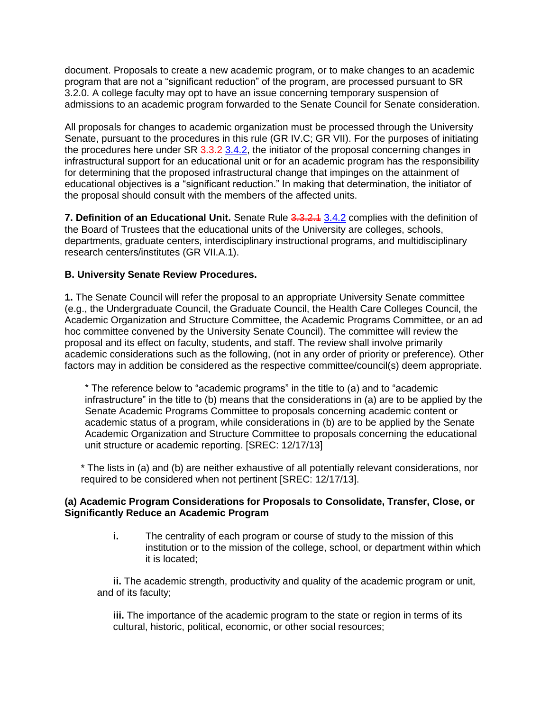document. Proposals to create a new academic program, or to make changes to an academic program that are not a "significant reduction" of the program, are processed pursuant to SR 3.2.0. A college faculty may opt to have an issue concerning temporary suspension of admissions to an academic program forwarded to the Senate Council for Senate consideration.

All proposals for changes to academic organization must be processed through the University Senate, pursuant to the procedures in this rule (GR IV.C; GR VII). For the purposes of initiating the procedures here under SR 3.3.2-3.4.2, the initiator of the proposal concerning changes in infrastructural support for an educational unit or for an academic program has the responsibility for determining that the proposed infrastructural change that impinges on the attainment of educational objectives is a "significant reduction." In making that determination, the initiator of the proposal should consult with the members of the affected units.

**7. Definition of an Educational Unit.** Senate Rule 3.3.2.1 3.4.2 complies with the definition of the Board of Trustees that the educational units of the University are colleges, schools, departments, graduate centers, interdisciplinary instructional programs, and multidisciplinary research centers/institutes (GR VII.A.1).

## **B. University Senate Review Procedures.**

**1.** The Senate Council will refer the proposal to an appropriate University Senate committee (e.g., the Undergraduate Council, the Graduate Council, the Health Care Colleges Council, the Academic Organization and Structure Committee, the Academic Programs Committee, or an ad hoc committee convened by the University Senate Council). The committee will review the proposal and its effect on faculty, students, and staff. The review shall involve primarily academic considerations such as the following, (not in any order of priority or preference). Other factors may in addition be considered as the respective committee/council(s) deem appropriate.

\* The reference below to "academic programs" in the title to (a) and to "academic infrastructure" in the title to (b) means that the considerations in (a) are to be applied by the Senate Academic Programs Committee to proposals concerning academic content or academic status of a program, while considerations in (b) are to be applied by the Senate Academic Organization and Structure Committee to proposals concerning the educational unit structure or academic reporting. [SREC: 12/17/13]

\* The lists in (a) and (b) are neither exhaustive of all potentially relevant considerations, nor required to be considered when not pertinent [SREC: 12/17/13].

### **(a) Academic Program Considerations for Proposals to Consolidate, Transfer, Close, or Significantly Reduce an Academic Program**

**i.** The centrality of each program or course of study to the mission of this institution or to the mission of the college, school, or department within which it is located;

**ii.** The academic strength, productivity and quality of the academic program or unit, and of its faculty;

**iii.** The importance of the academic program to the state or region in terms of its cultural, historic, political, economic, or other social resources;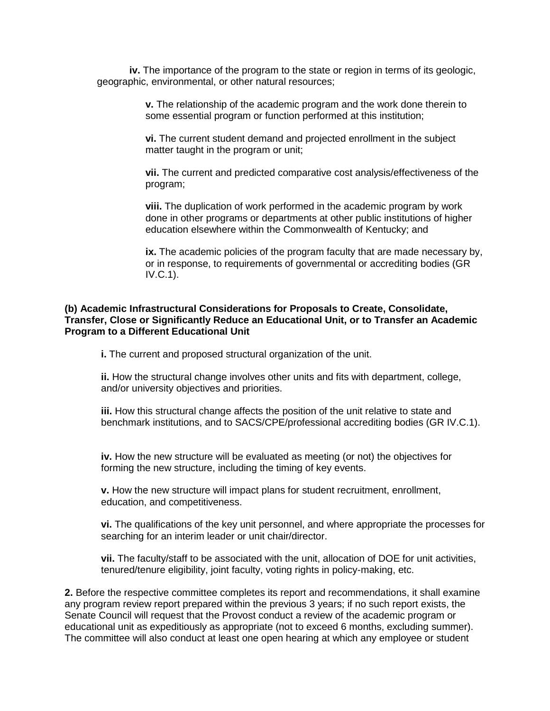**iv.** The importance of the program to the state or region in terms of its geologic, geographic, environmental, or other natural resources;

> **v.** The relationship of the academic program and the work done therein to some essential program or function performed at this institution;

**vi.** The current student demand and projected enrollment in the subject matter taught in the program or unit;

**vii.** The current and predicted comparative cost analysis/effectiveness of the program;

**viii.** The duplication of work performed in the academic program by work done in other programs or departments at other public institutions of higher education elsewhere within the Commonwealth of Kentucky; and

ix. The academic policies of the program faculty that are made necessary by, or in response, to requirements of governmental or accrediting bodies (GR IV.C.1).

#### **(b) Academic Infrastructural Considerations for Proposals to Create, Consolidate, Transfer, Close or Significantly Reduce an Educational Unit, or to Transfer an Academic Program to a Different Educational Unit**

**i.** The current and proposed structural organization of the unit.

**ii.** How the structural change involves other units and fits with department, college, and/or university objectives and priorities.

**iii.** How this structural change affects the position of the unit relative to state and benchmark institutions, and to SACS/CPE/professional accrediting bodies (GR IV.C.1).

**iv.** How the new structure will be evaluated as meeting (or not) the objectives for forming the new structure, including the timing of key events.

**v.** How the new structure will impact plans for student recruitment, enrollment, education, and competitiveness.

**vi.** The qualifications of the key unit personnel, and where appropriate the processes for searching for an interim leader or unit chair/director.

**vii.** The faculty/staff to be associated with the unit, allocation of DOE for unit activities, tenured/tenure eligibility, joint faculty, voting rights in policy-making, etc.

**2.** Before the respective committee completes its report and recommendations, it shall examine any program review report prepared within the previous 3 years; if no such report exists, the Senate Council will request that the Provost conduct a review of the academic program or educational unit as expeditiously as appropriate (not to exceed 6 months, excluding summer). The committee will also conduct at least one open hearing at which any employee or student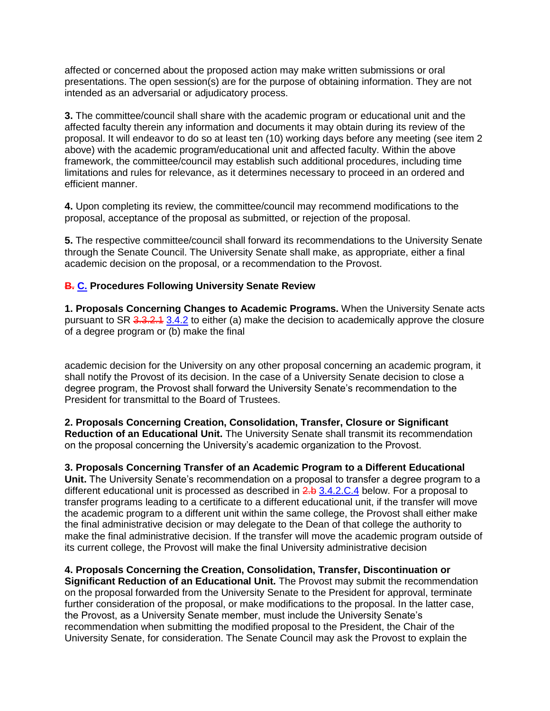affected or concerned about the proposed action may make written submissions or oral presentations. The open session(s) are for the purpose of obtaining information. They are not intended as an adversarial or adjudicatory process.

**3.** The committee/council shall share with the academic program or educational unit and the affected faculty therein any information and documents it may obtain during its review of the proposal. It will endeavor to do so at least ten (10) working days before any meeting (see item 2 above) with the academic program/educational unit and affected faculty. Within the above framework, the committee/council may establish such additional procedures, including time limitations and rules for relevance, as it determines necessary to proceed in an ordered and efficient manner.

**4.** Upon completing its review, the committee/council may recommend modifications to the proposal, acceptance of the proposal as submitted, or rejection of the proposal.

**5.** The respective committee/council shall forward its recommendations to the University Senate through the Senate Council. The University Senate shall make, as appropriate, either a final academic decision on the proposal, or a recommendation to the Provost.

## **B. C. Procedures Following University Senate Review**

**1. Proposals Concerning Changes to Academic Programs.** When the University Senate acts pursuant to SR 3.3.2.1 3.4.2 to either (a) make the decision to academically approve the closure of a degree program or (b) make the final

academic decision for the University on any other proposal concerning an academic program, it shall notify the Provost of its decision. In the case of a University Senate decision to close a degree program, the Provost shall forward the University Senate's recommendation to the President for transmittal to the Board of Trustees.

**2. Proposals Concerning Creation, Consolidation, Transfer, Closure or Significant Reduction of an Educational Unit.** The University Senate shall transmit its recommendation on the proposal concerning the University's academic organization to the Provost.

**3. Proposals Concerning Transfer of an Academic Program to a Different Educational Unit.** The University Senate's recommendation on a proposal to transfer a degree program to a different educational unit is processed as described in 2.b 3.4.2.C.4 below. For a proposal to transfer programs leading to a certificate to a different educational unit, if the transfer will move the academic program to a different unit within the same college, the Provost shall either make the final administrative decision or may delegate to the Dean of that college the authority to make the final administrative decision. If the transfer will move the academic program outside of its current college, the Provost will make the final University administrative decision

**4. Proposals Concerning the Creation, Consolidation, Transfer, Discontinuation or Significant Reduction of an Educational Unit.** The Provost may submit the recommendation on the proposal forwarded from the University Senate to the President for approval, terminate further consideration of the proposal, or make modifications to the proposal. In the latter case, the Provost, as a University Senate member, must include the University Senate's recommendation when submitting the modified proposal to the President, the Chair of the University Senate, for consideration. The Senate Council may ask the Provost to explain the